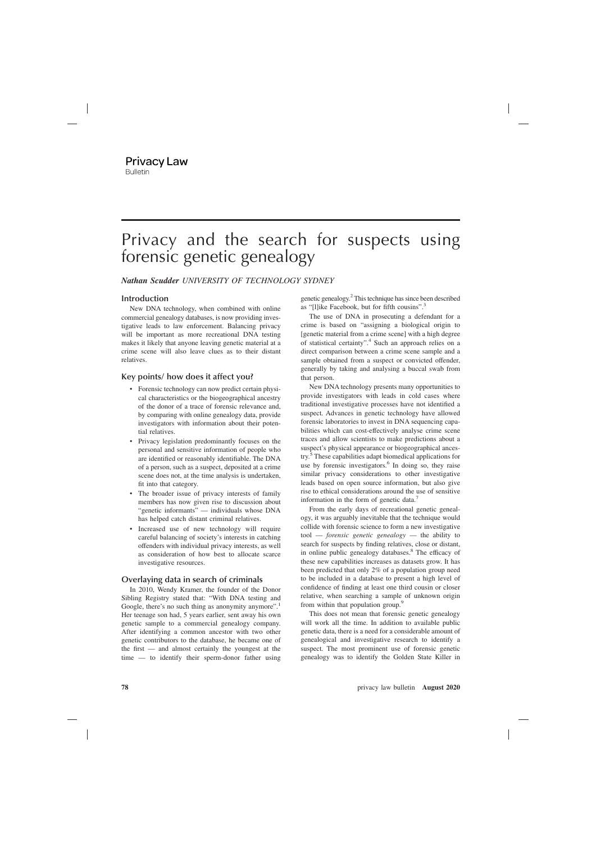# Privacy and the search for suspects using forensic genetic genealogy

## *Nathan Scudder UNIVERSITY OF TECHNOLOGY SYDNEY*

### **Introduction**

New DNA technology, when combined with online commercial genealogy databases, is now providing investigative leads to law enforcement. Balancing privacy will be important as more recreational DNA testing makes it likely that anyone leaving genetic material at a crime scene will also leave clues as to their distant relatives.

## **Key points/ how does it affect you?**

- Forensic technology can now predict certain physical characteristics or the biogeographical ancestry of the donor of a trace of forensic relevance and, by comparing with online genealogy data, provide investigators with information about their potential relatives.
- Privacy legislation predominantly focuses on the personal and sensitive information of people who are identified or reasonably identifiable. The DNA of a person, such as a suspect, deposited at a crime scene does not, at the time analysis is undertaken, fit into that category.
- The broader issue of privacy interests of family members has now given rise to discussion about "genetic informants" — individuals whose DNA has helped catch distant criminal relatives.
- Increased use of new technology will require careful balancing of society's interests in catching offenders with individual privacy interests, as well as consideration of how best to allocate scarce investigative resources.

### **Overlaying data in search of criminals**

In 2010, Wendy Kramer, the founder of the Donor Sibling Registry stated that: "With DNA testing and Google, there's no such thing as anonymity anymore".<sup>1</sup> Her teenage son had, 5 years earlier, sent away his own genetic sample to a commercial genealogy company. After identifying a common ancestor with two other genetic contributors to the database, he became one of the first — and almost certainly the youngest at the time — to identify their sperm-donor father using

genetic genealogy.2This technique has since been described as "[l]ike Facebook, but for fifth cousins".<sup>3</sup>

The use of DNA in prosecuting a defendant for a crime is based on "assigning a biological origin to [genetic material from a crime scene] with a high degree of statistical certainty".<sup>4</sup> Such an approach relies on a direct comparison between a crime scene sample and a sample obtained from a suspect or convicted offender, generally by taking and analysing a buccal swab from that person.

New DNA technology presents many opportunities to provide investigators with leads in cold cases where traditional investigative processes have not identified a suspect. Advances in genetic technology have allowed forensic laboratories to invest in DNA sequencing capabilities which can cost-effectively analyse crime scene traces and allow scientists to make predictions about a suspect's physical appearance or biogeographical ancestry.<sup>5</sup> These capabilities adapt biomedical applications for use by forensic investigators.<sup>6</sup> In doing so, they raise similar privacy considerations to other investigative leads based on open source information, but also give rise to ethical considerations around the use of sensitive information in the form of genetic data.<sup>7</sup>

From the early days of recreational genetic genealogy, it was arguably inevitable that the technique would collide with forensic science to form a new investigative tool — *forensic genetic genealogy* — the ability to search for suspects by finding relatives, close or distant, in online public genealogy databases.<sup>8</sup> The efficacy of these new capabilities increases as datasets grow. It has been predicted that only 2% of a population group need to be included in a database to present a high level of confidence of finding at least one third cousin or closer relative, when searching a sample of unknown origin from within that population group.<sup>9</sup>

This does not mean that forensic genetic genealogy will work all the time. In addition to available public genetic data, there is a need for a considerable amount of genealogical and investigative research to identify a suspect. The most prominent use of forensic genetic genealogy was to identify the Golden State Killer in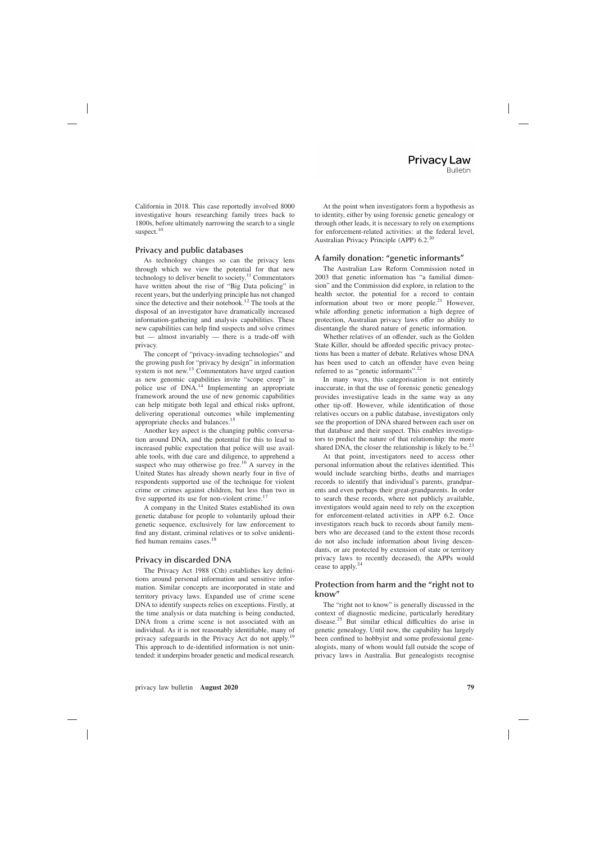California in 2018. This case reportedly involved 8000 investigative hours researching family trees back to 1800s, before ultimately narrowing the search to a single suspect.<sup>10</sup>

# **Privacy and public databases**

As technology changes so can the privacy lens through which we view the potential for that new technology to deliver benefit to society.<sup>11</sup> Commentators have written about the rise of "Big Data policing" in recent years, but the underlying principle has not changed since the detective and their notebook.<sup>12</sup> The tools at the disposal of an investigator have dramatically increased information-gathering and analysis capabilities. These new capabilities can help find suspects and solve crimes but — almost invariably — there is a trade-off with privacy.

The concept of "privacy-invading technologies" and the growing push for "privacy by design" in information system is not new.<sup>13</sup> Commentators have urged caution as new genomic capabilities invite "scope creep" in police use of DNA.<sup>14</sup> Implementing an appropriate framework around the use of new genomic capabilities can help mitigate both legal and ethical risks upfront, delivering operational outcomes while implementing appropriate checks and balances.<sup>15</sup>

Another key aspect is the changing public conversation around DNA, and the potential for this to lead to increased public expectation that police will use available tools, with due care and diligence, to apprehend a suspect who may otherwise go free.<sup>16</sup> A survey in the United States has already shown nearly four in five of respondents supported use of the technique for violent crime or crimes against children, but less than two in five supported its use for non-violent crime.<sup>17</sup>

A company in the United States established its own genetic database for people to voluntarily upload their genetic sequence, exclusively for law enforcement to find any distant, criminal relatives or to solve unidentified human remains cases.<sup>18</sup>

# **Privacy in discarded DNA**

The Privacy Act 1988 (Cth) establishes key definitions around personal information and sensitive information. Similar concepts are incorporated in state and territory privacy laws. Expanded use of crime scene DNA to identify suspects relies on exceptions. Firstly, at the time analysis or data matching is being conducted, DNA from a crime scene is not associated with an individual. As it is not reasonably identifiable, many of privacy safeguards in the Privacy Act do not apply.<sup>19</sup> This approach to de-identified information is not unintended: it underpins broader genetic and medical research.

At the point when investigators form a hypothesis as to identity, either by using forensic genetic genealogy or through other leads, it is necessary to rely on exemptions for enforcement-related activities: at the federal level, Australian Privacy Principle (APP)  $6.2^{20}$ 

# **A family donation: "genetic informants"**

The Australian Law Reform Commission noted in 2003 that genetic information has "a familial dimension" and the Commission did explore, in relation to the health sector, the potential for a record to contain information about two or more people. $21$  However, while affording genetic information a high degree of protection, Australian privacy laws offer no ability to disentangle the shared nature of genetic information.

Whether relatives of an offender, such as the Golden State Killer, should be afforded specific privacy protections has been a matter of debate. Relatives whose DNA has been used to catch an offender have even being referred to as "genetic informants".<sup>22</sup>

In many ways, this categorisation is not entirely inaccurate, in that the use of forensic genetic genealogy provides investigative leads in the same way as any other tip-off. However, while identification of those relatives occurs on a public database, investigators only see the proportion of DNA shared between each user on that database and their suspect. This enables investigators to predict the nature of that relationship: the more shared DNA, the closer the relationship is likely to be.<sup>23</sup>

At that point, investigators need to access other personal information about the relatives identified. This would include searching births, deaths and marriages records to identify that individual's parents, grandparents and even perhaps their great-grandparents. In order to search these records, where not publicly available, investigators would again need to rely on the exception for enforcement-related activities in APP 6.2. Once investigators reach back to records about family members who are deceased (and to the extent those records do not also include information about living descendants, or are protected by extension of state or territory privacy laws to recently deceased), the APPs would cease to apply.<sup>24</sup>

## **Protection from harm and the "right not to know"**

The "right not to know" is generally discussed in the context of diagnostic medicine, particularly hereditary disease.<sup>25</sup> But similar ethical difficulties do arise in genetic genealogy. Until now, the capability has largely been confined to hobbyist and some professional genealogists, many of whom would fall outside the scope of privacy laws in Australia. But genealogists recognise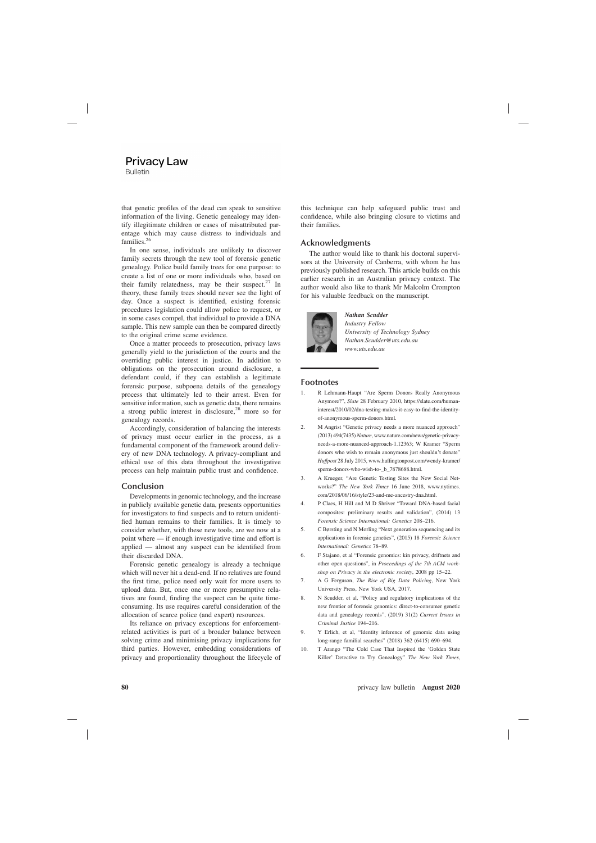## **Privacy Law Bulletin**

that genetic profiles of the dead can speak to sensitive information of the living. Genetic genealogy may identify illegitimate children or cases of misattributed parentage which may cause distress to individuals and families.<sup>26</sup>

In one sense, individuals are unlikely to discover family secrets through the new tool of forensic genetic genealogy. Police build family trees for one purpose: to create a list of one or more individuals who, based on their family relatedness, may be their suspect. $27 \text{ In}$ theory, these family trees should never see the light of day. Once a suspect is identified, existing forensic procedures legislation could allow police to request, or in some cases compel, that individual to provide a DNA sample. This new sample can then be compared directly to the original crime scene evidence.

Once a matter proceeds to prosecution, privacy laws generally yield to the jurisdiction of the courts and the overriding public interest in justice. In addition to obligations on the prosecution around disclosure, a defendant could, if they can establish a legitimate forensic purpose, subpoena details of the genealogy process that ultimately led to their arrest. Even for sensitive information, such as genetic data, there remains a strong public interest in disclosure,  $28$  more so for genealogy records.

Accordingly, consideration of balancing the interests of privacy must occur earlier in the process, as a fundamental component of the framework around delivery of new DNA technology. A privacy-compliant and ethical use of this data throughout the investigative process can help maintain public trust and confidence.

#### **Conclusion**

Developments in genomic technology, and the increase in publicly available genetic data, presents opportunities for investigators to find suspects and to return unidentified human remains to their families. It is timely to consider whether, with these new tools, are we now at a point where — if enough investigative time and effort is applied — almost any suspect can be identified from their discarded DNA.

Forensic genetic genealogy is already a technique which will never hit a dead-end. If no relatives are found the first time, police need only wait for more users to upload data. But, once one or more presumptive relatives are found, finding the suspect can be quite timeconsuming. Its use requires careful consideration of the allocation of scarce police (and expert) resources.

Its reliance on privacy exceptions for enforcementrelated activities is part of a broader balance between solving crime and minimising privacy implications for third parties. However, embedding considerations of privacy and proportionality throughout the lifecycle of this technique can help safeguard public trust and confidence, while also bringing closure to victims and their families.

#### **Acknowledgments**

The author would like to thank his doctoral supervisors at the University of Canberra, with whom he has previously published research. This article builds on this earlier research in an Australian privacy context. The author would also like to thank Mr Malcolm Crompton for his valuable feedback on the manuscript.



#### *Nathan Scudder Industry Fellow University of Technology Sydney Nathan.Scudder@uts.edu.au www.uts.edu.au*

#### **Footnotes**

- 1. R Lehmann-Haupt "Are Sperm Donors Really Anonymous Anymore?", *Slate* 28 February 2010, https://slate.com/humaninterest/2010/02/dna-testing-makes-it-easy-to-find-the-identityof-anonymous-sperm-donors.html.
- 2. M Angrist "Genetic privacy needs a more nuanced approach" (2013) 494(7435) *Nature*, www.nature.com/news/genetic-privacyneeds-a-more-nuanced-approach-1.12363; W Kramer "Sperm donors who wish to remain anonymous just shouldn't donate" *Huffpost* 28 July 2015, www.huffingtonpost.com/wendy-kramer/ sperm-donors-who-wish-to- b 7878688.html.
- 3. A Krueger, "Are Genetic Testing Sites the New Social Networks?" *The New York Times* 16 June 2018, www.nytimes. com/2018/06/16/style/23-and-me-ancestry-dna.html.
- 4. P Claes, H Hill and M D Shriver "Toward DNA-based facial composites: preliminary results and validation", (2014) 13 *Forensic Science International: Genetics* 208–216.
- 5. C Børsting and N Morling "Next generation sequencing and its applications in forensic genetics", (2015) 18 *Forensic Science International: Genetics* 78–89.
- 6. F Stajano, et al "Forensic genomics: kin privacy, driftnets and other open questions", in *Proceedings of the 7th ACM workshop on Privacy in the electronic society*, 2008 pp 15–22.
- 7. A G Ferguson, *The Rise of Big Data Policing*, New York University Press, New York USA, 2017.
- 8. N Scudder, et al, "Policy and regulatory implications of the new frontier of forensic genomics: direct-to-consumer genetic data and genealogy records", (2019) 31(2) *Current Issues in Criminal Justice* 194–216.
- 9. Y Erlich, et al, "Identity inference of genomic data using long-range familial searches" (2018) 362 (6415) 690–694.
- 10. T Arango "The Cold Case That Inspired the 'Golden State Killer' Detective to Try Genealogy" *The New York Times*,